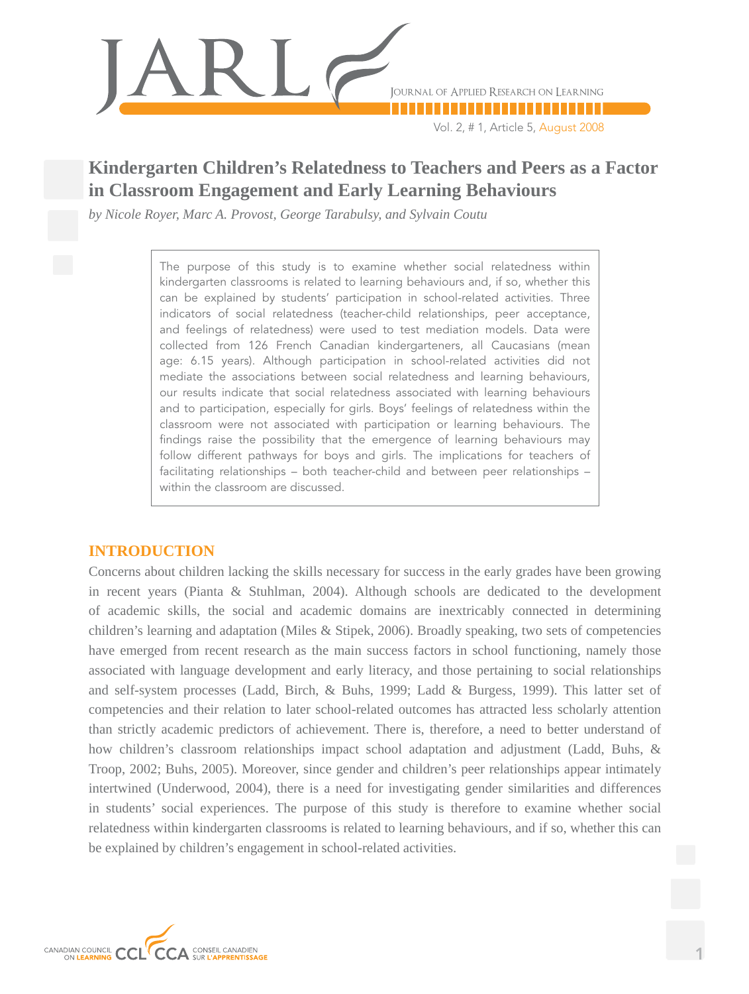

Vol. 2, # 1, Article 5, August 2008

# **Kindergarten Children's Relatedness to Teachers and Peers as a Factor in Classroom Engagement and Early Learning Behaviours**

*by Nicole Royer, Marc A. Provost, George Tarabulsy, and Sylvain Coutu*

The purpose of this study is to examine whether social relatedness within kindergarten classrooms is related to learning behaviours and, if so, whether this can be explained by students' participation in school-related activities. Three indicators of social relatedness (teacher-child relationships, peer acceptance, and feelings of relatedness) were used to test mediation models. Data were collected from 126 French Canadian kindergarteners, all Caucasians (mean age: 6.15 years). Although participation in school-related activities did not mediate the associations between social relatedness and learning behaviours, our results indicate that social relatedness associated with learning behaviours and to participation, especially for girls. Boys' feelings of relatedness within the classroom were not associated with participation or learning behaviours. The findings raise the possibility that the emergence of learning behaviours may follow different pathways for boys and girls. The implications for teachers of facilitating relationships – both teacher-child and between peer relationships – within the classroom are discussed.

# **INTRODUCTION**

Concerns about children lacking the skills necessary for success in the early grades have been growing in recent years (Pianta & Stuhlman, 2004). Although schools are dedicated to the development of academic skills, the social and academic domains are inextricably connected in determining children's learning and adaptation (Miles & Stipek, 2006). Broadly speaking, two sets of competencies have emerged from recent research as the main success factors in school functioning, namely those associated with language development and early literacy, and those pertaining to social relationships and self-system processes (Ladd, Birch, & Buhs, 1999; Ladd & Burgess, 1999). This latter set of competencies and their relation to later school-related outcomes has attracted less scholarly attention than strictly academic predictors of achievement. There is, therefore, a need to better understand of how children's classroom relationships impact school adaptation and adjustment (Ladd, Buhs, & Troop, 2002; Buhs, 2005). Moreover, since gender and children's peer relationships appear intimately intertwined (Underwood, 2004), there is a need for investigating gender similarities and differences in students' social experiences. The purpose of this study is therefore to examine whether social relatedness within kindergarten classrooms is related to learning behaviours, and if so, whether this can be explained by children's engagement in school-related activities.

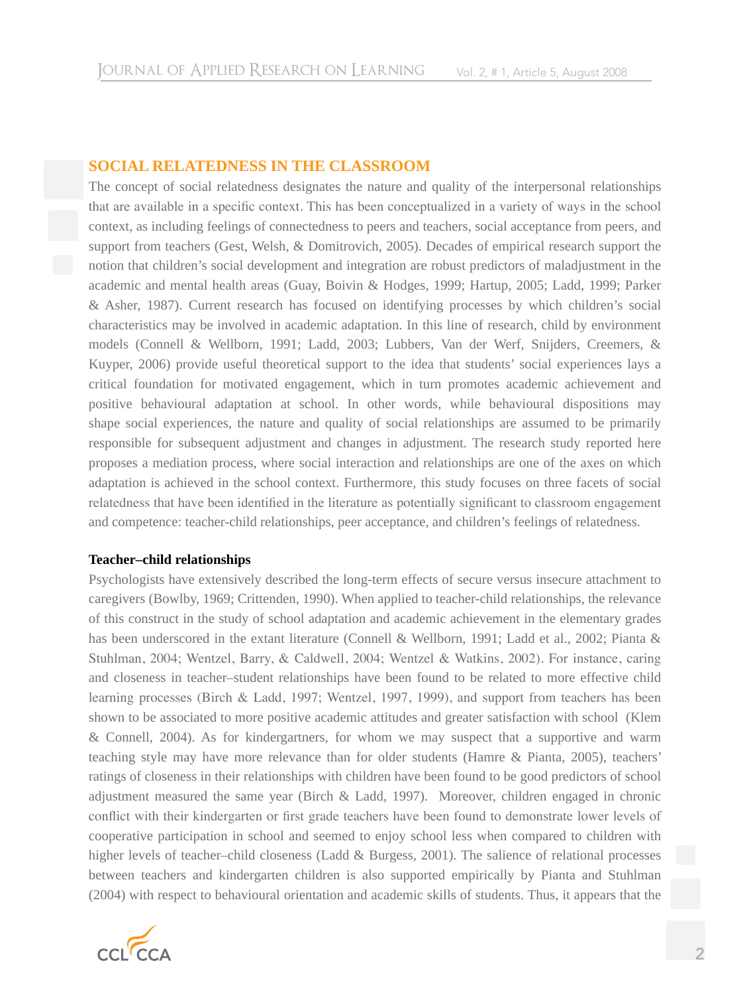### **SOCIAL RELATEDness IN THE CLASSROOM**

The concept of social relatedness designates the nature and quality of the interpersonal relationships that are available in a specific context. This has been conceptualized in a variety of ways in the school context, as including feelings of connectedness to peers and teachers, social acceptance from peers, and support from teachers (Gest, Welsh, & Domitrovich, 2005). Decades of empirical research support the notion that children's social development and integration are robust predictors of maladjustment in the academic and mental health areas (Guay, Boivin & Hodges, 1999; Hartup, 2005; Ladd, 1999; Parker & Asher, 1987). Current research has focused on identifying processes by which children's social characteristics may be involved in academic adaptation. In this line of research, child by environment models (Connell & Wellborn, 1991; Ladd, 2003; Lubbers, Van der Werf, Snijders, Creemers, & Kuyper, 2006) provide useful theoretical support to the idea that students' social experiences lays a critical foundation for motivated engagement, which in turn promotes academic achievement and positive behavioural adaptation at school. In other words, while behavioural dispositions may shape social experiences, the nature and quality of social relationships are assumed to be primarily responsible for subsequent adjustment and changes in adjustment. The research study reported here proposes a mediation process, where social interaction and relationships are one of the axes on which adaptation is achieved in the school context. Furthermore, this study focuses on three facets of social relatedness that have been identified in the literature as potentially significant to classroom engagement and competence: teacher-child relationships, peer acceptance, and children's feelings of relatedness.

#### **Teacher–child relationships**

Psychologists have extensively described the long-term effects of secure versus insecure attachment to caregivers (Bowlby, 1969; Crittenden, 1990). When applied to teacher-child relationships, the relevance of this construct in the study of school adaptation and academic achievement in the elementary grades has been underscored in the extant literature (Connell & Wellborn, 1991; Ladd et al., 2002; Pianta & Stuhlman, 2004; Wentzel, Barry, & Caldwell, 2004; Wentzel & Watkins, 2002). For instance, caring and closeness in teacher–student relationships have been found to be related to more effective child learning processes (Birch & Ladd, 1997; Wentzel, 1997, 1999), and support from teachers has been shown to be associated to more positive academic attitudes and greater satisfaction with school (Klem & Connell, 2004). As for kindergartners, for whom we may suspect that a supportive and warm teaching style may have more relevance than for older students (Hamre & Pianta, 2005), teachers' ratings of closeness in their relationships with children have been found to be good predictors of school adjustment measured the same year (Birch & Ladd, 1997). Moreover, children engaged in chronic conflict with their kindergarten or first grade teachers have been found to demonstrate lower levels of cooperative participation in school and seemed to enjoy school less when compared to children with higher levels of teacher–child closeness (Ladd & Burgess, 2001). The salience of relational processes between teachers and kindergarten children is also supported empirically by Pianta and Stuhlman (2004) with respect to behavioural orientation and academic skills of students. Thus, it appears that the

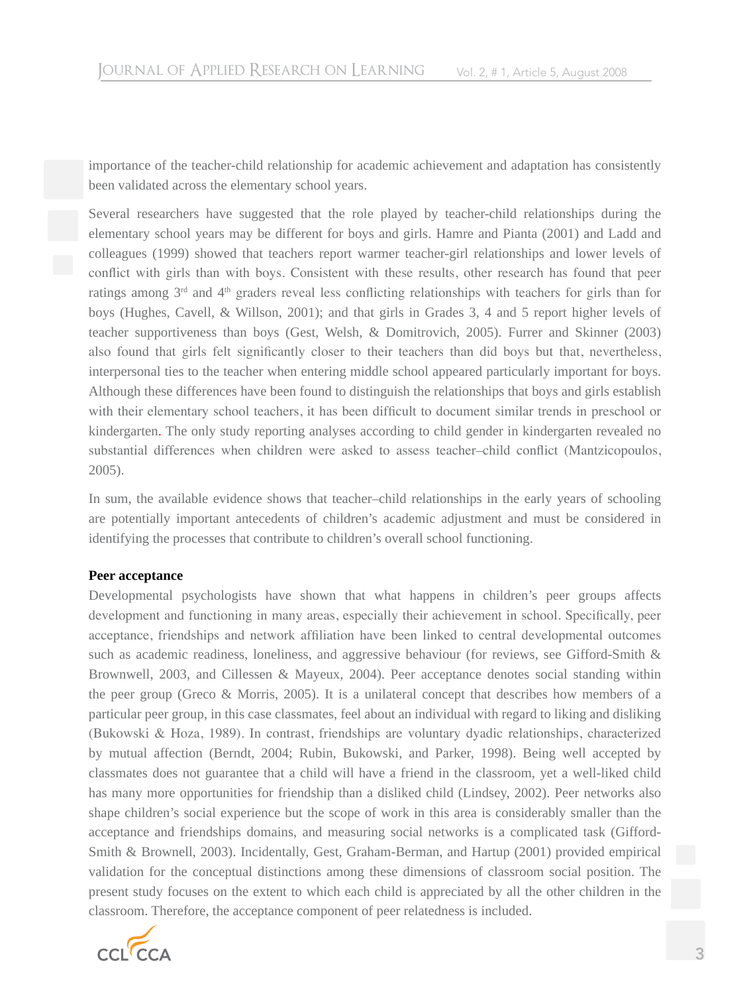importance of the teacher-child relationship for academic achievement and adaptation has consistently been validated across the elementary school years.

Several researchers have suggested that the role played by teacher-child relationships during the elementary school years may be different for boys and girls. Hamre and Pianta (2001) and Ladd and colleagues (1999) showed that teachers report warmer teacher-girl relationships and lower levels of conflict with girls than with boys. Consistent with these results, other research has found that peer ratings among 3<sup>rd</sup> and 4<sup>th</sup> graders reveal less conflicting relationships with teachers for girls than for boys (Hughes, Cavell, & Willson, 2001); and that girls in Grades 3, 4 and 5 report higher levels of teacher supportiveness than boys (Gest, Welsh, & Domitrovich, 2005). Furrer and Skinner (2003) also found that girls felt significantly closer to their teachers than did boys but that, nevertheless, interpersonal ties to the teacher when entering middle school appeared particularly important for boys. Although these differences have been found to distinguish the relationships that boys and girls establish with their elementary school teachers, it has been difficult to document similar trends in preschool or kindergarten. The only study reporting analyses according to child gender in kindergarten revealed no substantial differences when children were asked to assess teacher–child conflict (Mantzicopoulos, 2005).

In sum, the available evidence shows that teacher–child relationships in the early years of schooling are potentially important antecedents of children's academic adjustment and must be considered in identifying the processes that contribute to children's overall school functioning.

#### **Peer acceptance**

Developmental psychologists have shown that what happens in children's peer groups affects development and functioning in many areas, especially their achievement in school. Specifically, peer acceptance, friendships and network affiliation have been linked to central developmental outcomes such as academic readiness, loneliness, and aggressive behaviour (for reviews, see Gifford-Smith & Brownwell, 2003, and Cillessen & Mayeux, 2004). Peer acceptance denotes social standing within the peer group (Greco & Morris, 2005). It is a unilateral concept that describes how members of a particular peer group, in this case classmates, feel about an individual with regard to liking and disliking (Bukowski & Hoza, 1989). In contrast, friendships are voluntary dyadic relationships, characterized by mutual affection (Berndt, 2004; Rubin, Bukowski, and Parker, 1998). Being well accepted by classmates does not guarantee that a child will have a friend in the classroom, yet a well-liked child has many more opportunities for friendship than a disliked child (Lindsey, 2002). Peer networks also shape children's social experience but the scope of work in this area is considerably smaller than the acceptance and friendships domains, and measuring social networks is a complicated task (Gifford-Smith & Brownell, 2003). Incidentally, Gest, Graham-Berman, and Hartup (2001) provided empirical validation for the conceptual distinctions among these dimensions of classroom social position. The present study focuses on the extent to which each child is appreciated by all the other children in the classroom. Therefore, the acceptance component of peer relatedness is included.

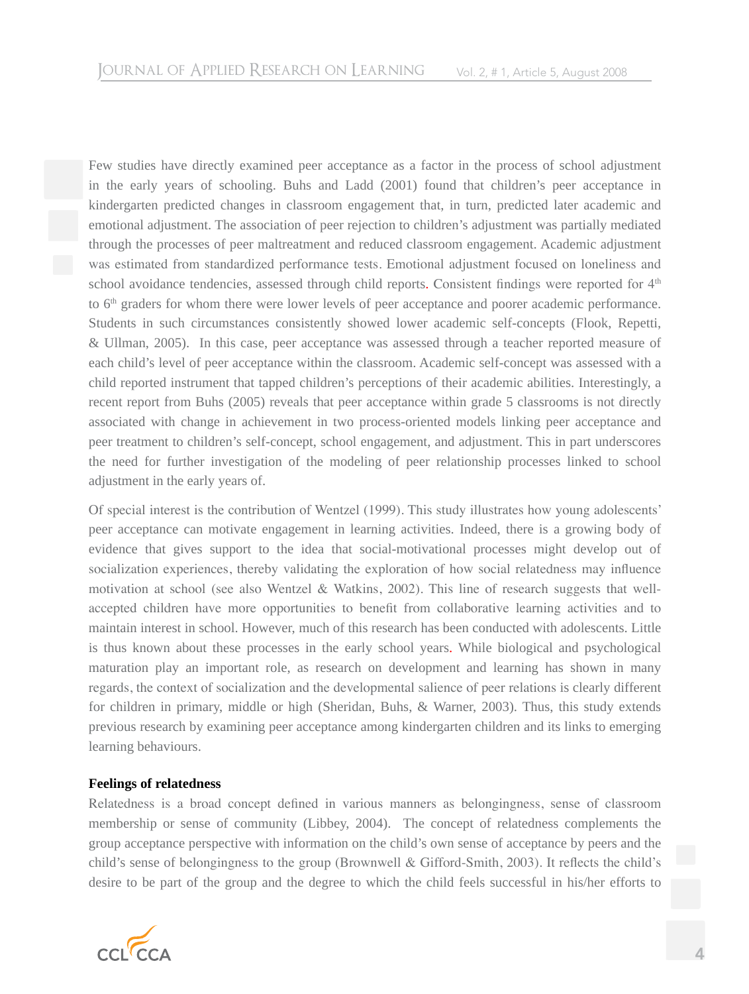Few studies have directly examined peer acceptance as a factor in the process of school adjustment in the early years of schooling. Buhs and Ladd (2001) found that children's peer acceptance in kindergarten predicted changes in classroom engagement that, in turn, predicted later academic and emotional adjustment. The association of peer rejection to children's adjustment was partially mediated through the processes of peer maltreatment and reduced classroom engagement. Academic adjustment was estimated from standardized performance tests. Emotional adjustment focused on loneliness and school avoidance tendencies, assessed through child reports. Consistent findings were reported for 4<sup>th</sup> to 6<sup>th</sup> graders for whom there were lower levels of peer acceptance and poorer academic performance. Students in such circumstances consistently showed lower academic self-concepts (Flook, Repetti, & Ullman, 2005). In this case, peer acceptance was assessed through a teacher reported measure of each child's level of peer acceptance within the classroom. Academic self-concept was assessed with a child reported instrument that tapped children's perceptions of their academic abilities. Interestingly, a recent report from Buhs (2005) reveals that peer acceptance within grade 5 classrooms is not directly associated with change in achievement in two process-oriented models linking peer acceptance and peer treatment to children's self-concept, school engagement, and adjustment. This in part underscores the need for further investigation of the modeling of peer relationship processes linked to school adjustment in the early years of.

Of special interest is the contribution of Wentzel (1999). This study illustrates how young adolescents' peer acceptance can motivate engagement in learning activities. Indeed, there is a growing body of evidence that gives support to the idea that social-motivational processes might develop out of socialization experiences, thereby validating the exploration of how social relatedness may influence motivation at school (see also Wentzel & Watkins, 2002). This line of research suggests that wellaccepted children have more opportunities to benefit from collaborative learning activities and to maintain interest in school. However, much of this research has been conducted with adolescents. Little is thus known about these processes in the early school years. While biological and psychological maturation play an important role, as research on development and learning has shown in many regards, the context of socialization and the developmental salience of peer relations is clearly different for children in primary, middle or high (Sheridan, Buhs, & Warner, 2003). Thus, this study extends previous research by examining peer acceptance among kindergarten children and its links to emerging learning behaviours.

#### **Feelings of relatedness**

Relatedness is a broad concept defined in various manners as belongingness, sense of classroom membership or sense of community (Libbey, 2004). The concept of relatedness complements the group acceptance perspective with information on the child's own sense of acceptance by peers and the child's sense of belongingness to the group (Brownwell & Gifford-Smith, 2003). It reflects the child's desire to be part of the group and the degree to which the child feels successful in his/her efforts to

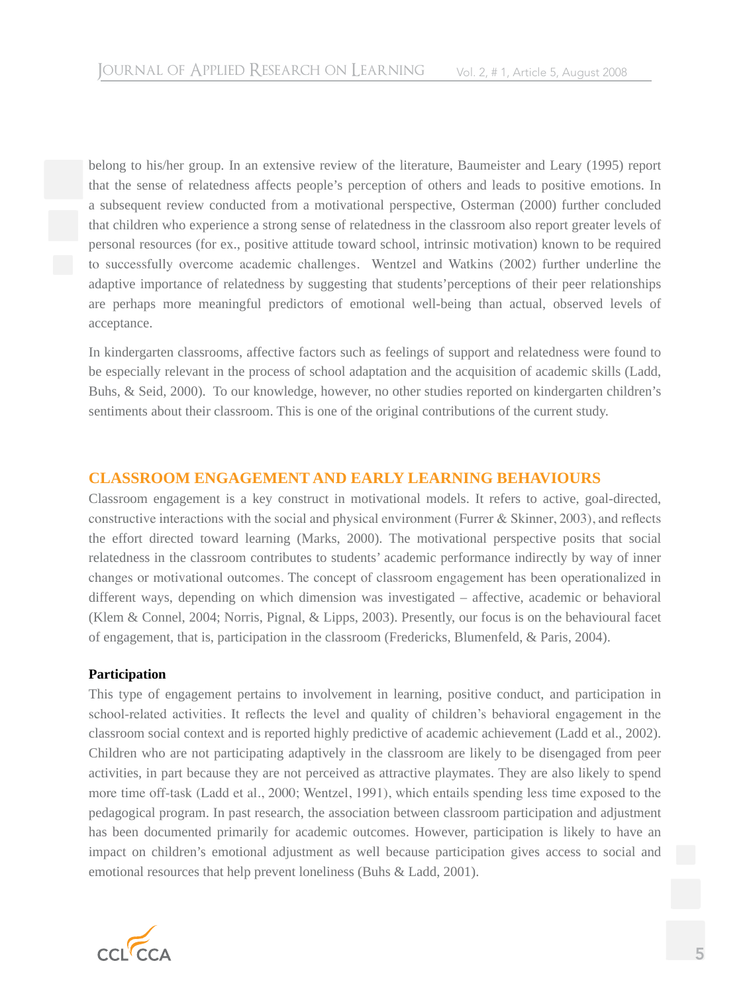belong to his/her group. In an extensive review of the literature, Baumeister and Leary (1995) report that the sense of relatedness affects people's perception of others and leads to positive emotions. In a subsequent review conducted from a motivational perspective, Osterman (2000) further concluded that children who experience a strong sense of relatedness in the classroom also report greater levels of personal resources (for ex., positive attitude toward school, intrinsic motivation) known to be required to successfully overcome academic challenges. Wentzel and Watkins (2002) further underline the adaptive importance of relatedness by suggesting that students'perceptions of their peer relationships are perhaps more meaningful predictors of emotional well-being than actual, observed levels of acceptance.

In kindergarten classrooms, affective factors such as feelings of support and relatedness were found to be especially relevant in the process of school adaptation and the acquisition of academic skills (Ladd, Buhs, & Seid, 2000). To our knowledge, however, no other studies reported on kindergarten children's sentiments about their classroom. This is one of the original contributions of the current study.

# **Classroom engagement and early learning behaviours**

Classroom engagement is a key construct in motivational models. It refers to active, goal-directed, constructive interactions with the social and physical environment (Furrer & Skinner, 2003), and reflects the effort directed toward learning (Marks, 2000). The motivational perspective posits that social relatedness in the classroom contributes to students' academic performance indirectly by way of inner changes or motivational outcomes. The concept of classroom engagement has been operationalized in different ways, depending on which dimension was investigated – affective, academic or behavioral (Klem & Connel, 2004; Norris, Pignal, & Lipps, 2003). Presently, our focus is on the behavioural facet of engagement, that is, participation in the classroom (Fredericks, Blumenfeld, & Paris, 2004).

#### **Participation**

This type of engagement pertains to involvement in learning, positive conduct, and participation in school-related activities. It reflects the level and quality of children's behavioral engagement in the classroom social context and is reported highly predictive of academic achievement (Ladd et al., 2002). Children who are not participating adaptively in the classroom are likely to be disengaged from peer activities, in part because they are not perceived as attractive playmates. They are also likely to spend more time off-task (Ladd et al., 2000; Wentzel, 1991), which entails spending less time exposed to the pedagogical program. In past research, the association between classroom participation and adjustment has been documented primarily for academic outcomes. However, participation is likely to have an impact on children's emotional adjustment as well because participation gives access to social and emotional resources that help prevent loneliness (Buhs & Ladd, 2001).

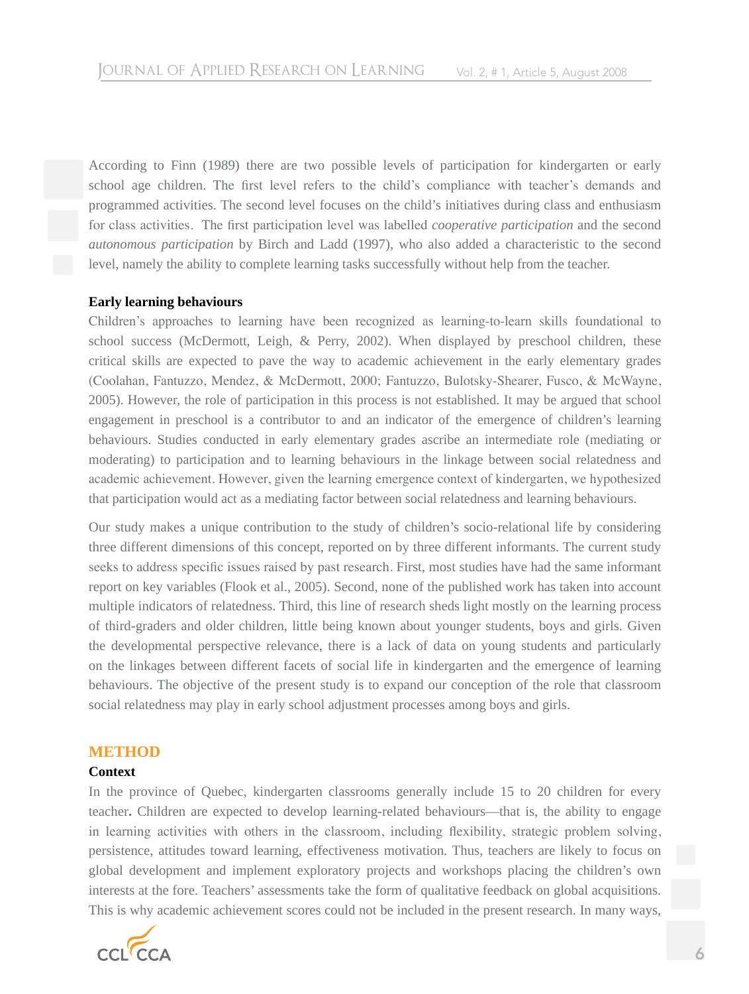According to Finn (1989) there are two possible levels of participation for kindergarten or early school age children. The first level refers to the child's compliance with teacher's demands and programmed activities. The second level focuses on the child's initiatives during class and enthusiasm for class activities. The first participation level was labelled *cooperative participation* and the second *autonomous participation* by Birch and Ladd (1997), who also added a characteristic to the second level, namely the ability to complete learning tasks successfully without help from the teacher.

### **Early learning behaviours**

Children's approaches to learning have been recognized as learning-to-learn skills foundational to school success (McDermott, Leigh, & Perry, 2002). When displayed by preschool children, these critical skills are expected to pave the way to academic achievement in the early elementary grades (Coolahan, Fantuzzo, Mendez, & McDermott, 2000; Fantuzzo, Bulotsky-Shearer, Fusco, & McWayne, 2005). However, the role of participation in this process is not established. It may be argued that school engagement in preschool is a contributor to and an indicator of the emergence of children's learning behaviours. Studies conducted in early elementary grades ascribe an intermediate role (mediating or moderating) to participation and to learning behaviours in the linkage between social relatedness and academic achievement. However, given the learning emergence context of kindergarten, we hypothesized that participation would act as a mediating factor between social relatedness and learning behaviours.

Our study makes a unique contribution to the study of children's socio-relational life by considering three different dimensions of this concept, reported on by three different informants. The current study seeks to address specific issues raised by past research. First, most studies have had the same informant report on key variables (Flook et al., 2005). Second, none of the published work has taken into account multiple indicators of relatedness. Third, this line of research sheds light mostly on the learning process of third-graders and older children, little being known about younger students, boys and girls. Given the developmental perspective relevance, there is a lack of data on young students and particularly on the linkages between different facets of social life in kindergarten and the emergence of learning behaviours. The objective of the present study is to expand our conception of the role that classroom social relatedness may play in early school adjustment processes among boys and girls.

# **METHOD**

#### **Context**

In the province of Quebec, kindergarten classrooms generally include 15 to 20 children for every teacher**.** Children are expected to develop learning-related behaviours—that is, the ability to engage in learning activities with others in the classroom, including flexibility, strategic problem solving, persistence, attitudes toward learning, effectiveness motivation. Thus, teachers are likely to focus on global development and implement exploratory projects and workshops placing the children's own interests at the fore. Teachers' assessments take the form of qualitative feedback on global acquisitions. This is why academic achievement scores could not be included in the present research. In many ways,

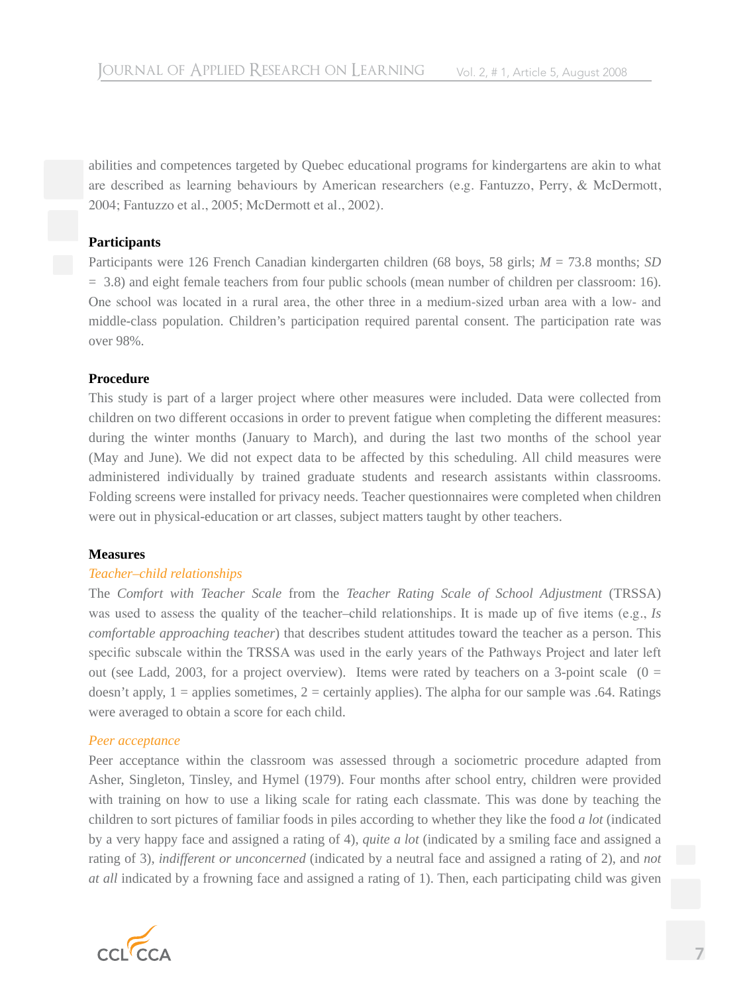abilities and competences targeted by Quebec educational programs for kindergartens are akin to what are described as learning behaviours by American researchers (e.g. Fantuzzo, Perry, & McDermott, 2004; Fantuzzo et al., 2005; McDermott et al., 2002).

#### **Participants**

Participants were 126 French Canadian kindergarten children (68 boys, 58 girls; *M* = 73.8 months; *SD* = 3.8) and eight female teachers from four public schools (mean number of children per classroom: 16). One school was located in a rural area, the other three in a medium-sized urban area with a low- and middle-class population. Children's participation required parental consent. The participation rate was over 98%.

### **Procedure**

This study is part of a larger project where other measures were included. Data were collected from children on two different occasions in order to prevent fatigue when completing the different measures: during the winter months (January to March), and during the last two months of the school year (May and June). We did not expect data to be affected by this scheduling. All child measures were administered individually by trained graduate students and research assistants within classrooms. Folding screens were installed for privacy needs. Teacher questionnaires were completed when children were out in physical-education or art classes, subject matters taught by other teachers.

#### **Measures**

# *Teacher–child relationships*

The *Comfort with Teacher Scale* from the *Teacher Rating Scale of School Adjustment* (TRSSA) was used to assess the quality of the teacher–child relationships. It is made up of five items (e.g., *Is comfortable approaching teacher*) that describes student attitudes toward the teacher as a person. This specific subscale within the TRSSA was used in the early years of the Pathways Project and later left out (see Ladd, 2003, for a project overview). Items were rated by teachers on a 3-point scale  $(0 =$ doesn't apply,  $1 =$  applies sometimes,  $2 =$  certainly applies). The alpha for our sample was .64. Ratings were averaged to obtain a score for each child.

# *Peer acceptance*

Peer acceptance within the classroom was assessed through a sociometric procedure adapted from Asher, Singleton, Tinsley, and Hymel (1979). Four months after school entry, children were provided with training on how to use a liking scale for rating each classmate. This was done by teaching the children to sort pictures of familiar foods in piles according to whether they like the food *a lot* (indicated by a very happy face and assigned a rating of 4), *quite a lot* (indicated by a smiling face and assigned a rating of 3), *indifferent or unconcerned* (indicated by a neutral face and assigned a rating of 2), and *not at all* indicated by a frowning face and assigned a rating of 1). Then, each participating child was given

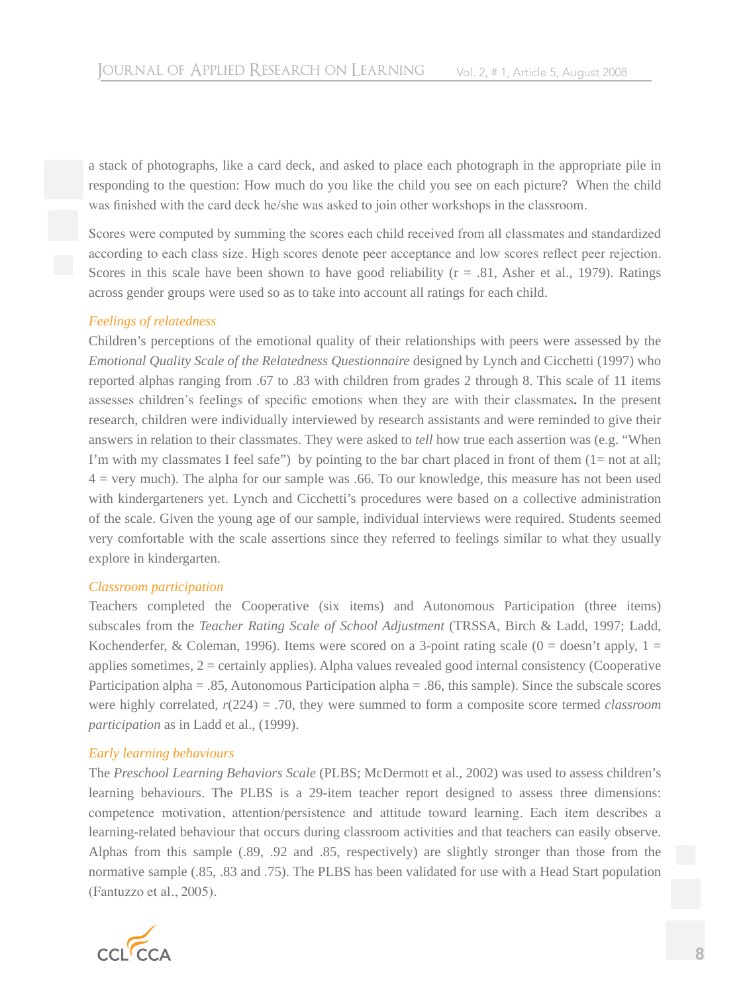a stack of photographs, like a card deck, and asked to place each photograph in the appropriate pile in responding to the question: How much do you like the child you see on each picture? When the child was finished with the card deck he/she was asked to join other workshops in the classroom.

Scores were computed by summing the scores each child received from all classmates and standardized according to each class size. High scores denote peer acceptance and low scores reflect peer rejection. Scores in this scale have been shown to have good reliability ( $r = .81$ , Asher et al., 1979). Ratings across gender groups were used so as to take into account all ratings for each child.

### *Feelings of relatedness*

Children's perceptions of the emotional quality of their relationships with peers were assessed by the *Emotional Quality Scale of the Relatedness Questionnaire* designed by Lynch and Cicchetti (1997) who reported alphas ranging from .67 to .83 with children from grades 2 through 8. This scale of 11 items assesses children's feelings of specific emotions when they are with their classmates**.** In the present research, children were individually interviewed by research assistants and were reminded to give their answers in relation to their classmates. They were asked to *tell* how true each assertion was (e.g. "When I'm with my classmates I feel safe") by pointing to the bar chart placed in front of them  $(1=$  not at all;  $4$  = very much). The alpha for our sample was .66. To our knowledge, this measure has not been used with kindergarteners yet. Lynch and Cicchetti's procedures were based on a collective administration of the scale. Given the young age of our sample, individual interviews were required. Students seemed very comfortable with the scale assertions since they referred to feelings similar to what they usually explore in kindergarten.

#### *Classroom participation*

Teachers completed the Cooperative (six items) and Autonomous Participation (three items) subscales from the *Teacher Rating Scale of School Adjustment* (TRSSA, Birch & Ladd, 1997; Ladd, Kochenderfer, & Coleman, 1996). Items were scored on a 3-point rating scale  $(0 =$  doesn't apply,  $1 =$ applies sometimes, 2 = certainly applies). Alpha values revealed good internal consistency (Cooperative Participation alpha = .85, Autonomous Participation alpha = .86, this sample). Since the subscale scores were highly correlated, *r*(224) = .70, they were summed to form a composite score termed *classroom participation* as in Ladd et al., (1999).

# *Early learning behaviours*

The *Preschool Learning Behaviors Scale* (PLBS; McDermott et al., 2002) was used to assess children's learning behaviours. The PLBS is a 29-item teacher report designed to assess three dimensions: competence motivation, attention/persistence and attitude toward learning. Each item describes a learning-related behaviour that occurs during classroom activities and that teachers can easily observe. Alphas from this sample (.89, .92 and .85, respectively) are slightly stronger than those from the normative sample (.85, .83 and .75). The PLBS has been validated for use with a Head Start population (Fantuzzo et al., 2005).

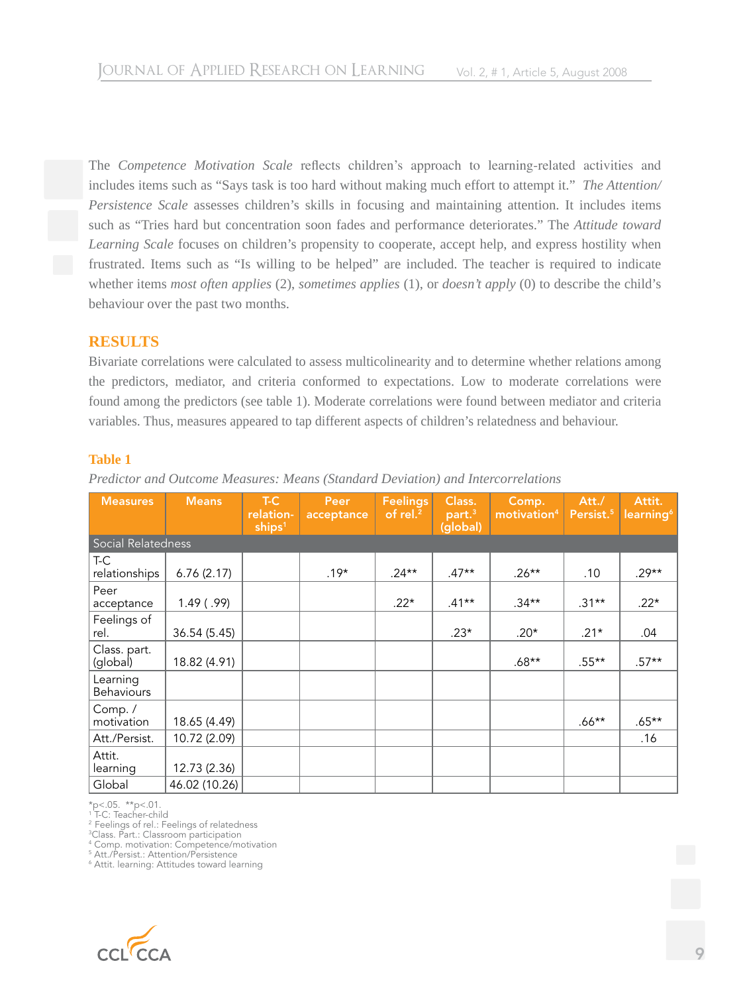The *Competence Motivation Scale* reflects children's approach to learning-related activities and includes items such as "Says task is too hard without making much effort to attempt it." *The Attention/ Persistence Scale* assesses children's skills in focusing and maintaining attention. It includes items such as "Tries hard but concentration soon fades and performance deteriorates." The *Attitude toward Learning Scale* focuses on children's propensity to cooperate, accept help, and express hostility when frustrated. Items such as "Is willing to be helped" are included. The teacher is required to indicate whether items *most often applies* (2), *sometimes applies* (1), or *doesn't apply* (0) to describe the child's behaviour over the past two months.

# **RESULTS**

Bivariate correlations were calculated to assess multicolinearity and to determine whether relations among the predictors, mediator, and criteria conformed to expectations. Low to moderate correlations were found among the predictors (see table 1). Moderate correlations were found between mediator and criteria variables. Thus, measures appeared to tap different aspects of children's relatedness and behaviour.

### **Table 1**

*Predictor and Outcome Measures: Means (Standard Deviation) and Intercorrelations*

| <b>Measures</b>               | <b>Means</b>  | T-C<br>relation-<br>ships <sup>1</sup> | Peer<br>acceptance | <b>Feelings</b><br>of rel. <sup>2</sup> | Class.<br>part. <sup>3</sup><br>(global) | Comp.<br>motivation <sup>4</sup> | Att./<br>Persist. <sup>5</sup> | Attit.<br>learning <sup>6</sup> |
|-------------------------------|---------------|----------------------------------------|--------------------|-----------------------------------------|------------------------------------------|----------------------------------|--------------------------------|---------------------------------|
| Social Relatedness            |               |                                        |                    |                                         |                                          |                                  |                                |                                 |
| T-C<br>relationships          | 6.76(2.17)    |                                        | $.19*$             | $.24**$                                 | $.47**$                                  | $.26***$                         | .10                            | $.29**$                         |
| Peer<br>acceptance            | $1.49$ (.99)  |                                        |                    | $.22*$                                  | $.41***$                                 | $.34**$                          | $.31***$                       | $.22*$                          |
| Feelings of<br>rel.           | 36.54(5.45)   |                                        |                    |                                         | $.23*$                                   | $.20*$                           | $.21*$                         | .04                             |
| Class. part.<br>(global)      | 18.82 (4.91)  |                                        |                    |                                         |                                          | $.68**$                          | $.55***$                       | $.57**$                         |
| Learning<br><b>Behaviours</b> |               |                                        |                    |                                         |                                          |                                  |                                |                                 |
| Comp./<br>motivation          | 18.65 (4.49)  |                                        |                    |                                         |                                          |                                  | $.66***$                       | $.65**$                         |
| Att./Persist.                 | 10.72 (2.09)  |                                        |                    |                                         |                                          |                                  |                                | .16                             |
| Attit.<br>learning            | 12.73 (2.36)  |                                        |                    |                                         |                                          |                                  |                                |                                 |
| Global                        | 46.02 (10.26) |                                        |                    |                                         |                                          |                                  |                                |                                 |

\*p<.05. \*\*p<.01. 1 T-C: Teacher-child

<sup>2</sup> Feelings of rel.: Feelings of relatedness

3 Class. Part.: Classroom participation

4 Comp. motivation: Competence/motivation

5 Att./Persist.: Attention/Persistence

6 Attit. learning: Attitudes toward learning

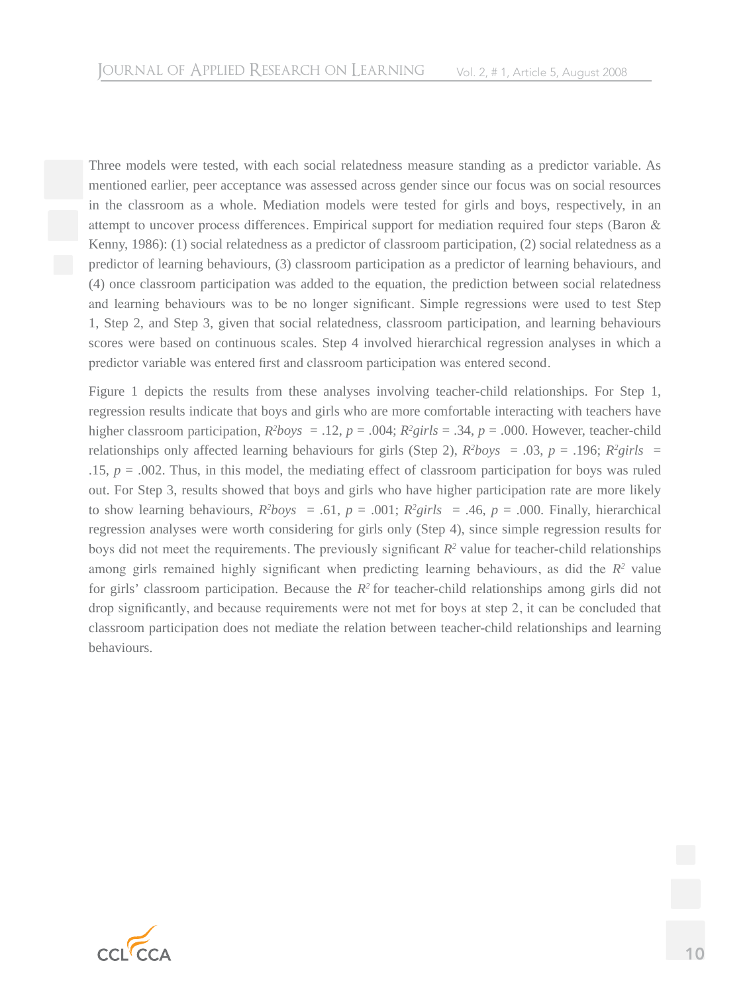Three models were tested, with each social relatedness measure standing as a predictor variable. As mentioned earlier, peer acceptance was assessed across gender since our focus was on social resources in the classroom as a whole. Mediation models were tested for girls and boys, respectively, in an attempt to uncover process differences. Empirical support for mediation required four steps (Baron & Kenny, 1986): (1) social relatedness as a predictor of classroom participation, (2) social relatedness as a predictor of learning behaviours, (3) classroom participation as a predictor of learning behaviours, and (4) once classroom participation was added to the equation, the prediction between social relatedness and learning behaviours was to be no longer significant. Simple regressions were used to test Step 1, Step 2, and Step 3, given that social relatedness, classroom participation, and learning behaviours scores were based on continuous scales. Step 4 involved hierarchical regression analyses in which a predictor variable was entered first and classroom participation was entered second.

Figure 1 depicts the results from these analyses involving teacher-child relationships. For Step 1, regression results indicate that boys and girls who are more comfortable interacting with teachers have higher classroom participation,  $R^2$ boys = .12,  $p = .004$ ;  $R^2$ girls = .34,  $p = .000$ . However, teacher-child relationships only affected learning behaviours for girls (Step 2),  $R^2$ boys = .03,  $p = .196$ ;  $R^2$ girls = .15,  $p = 0.002$ . Thus, in this model, the mediating effect of classroom participation for boys was ruled out. For Step 3, results showed that boys and girls who have higher participation rate are more likely to show learning behaviours,  $R^2$ boys = .61,  $p = .001$ ;  $R^2$ girls = .46,  $p = .000$ . Finally, hierarchical regression analyses were worth considering for girls only (Step 4), since simple regression results for boys did not meet the requirements. The previously significant  $R<sup>2</sup>$  value for teacher-child relationships among girls remained highly significant when predicting learning behaviours, as did the *R2* value for girls' classroom participation. Because the *R2* for teacher-child relationships among girls did not drop significantly, and because requirements were not met for boys at step 2, it can be concluded that classroom participation does not mediate the relation between teacher-child relationships and learning behaviours.

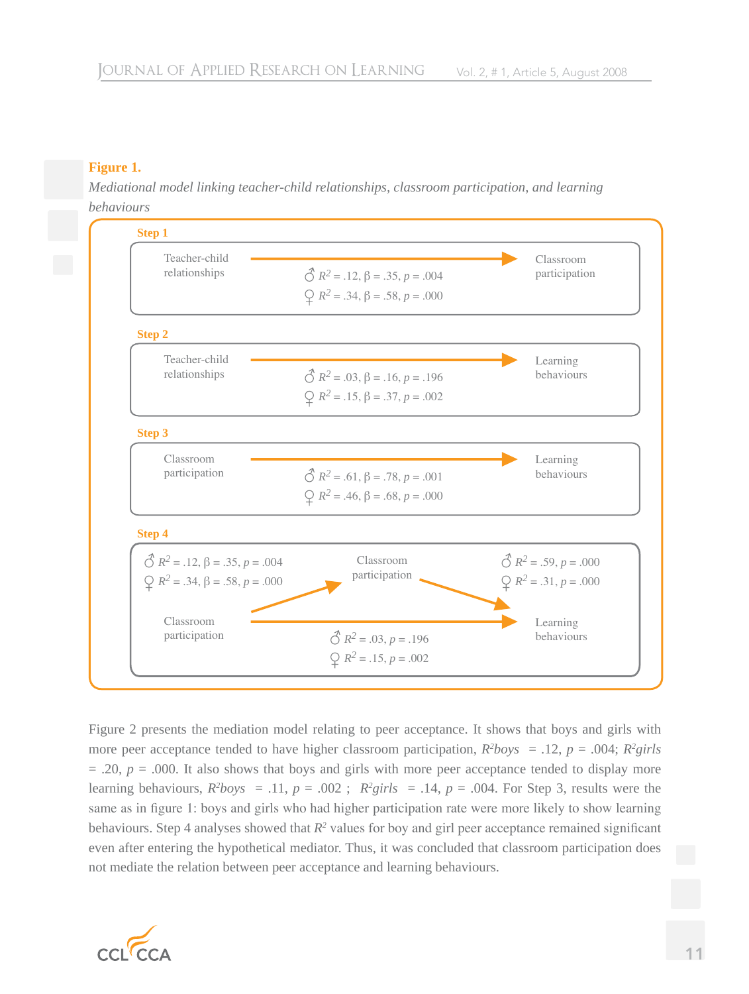# **Figure 1.**

*Mediational model linking teacher-child relationships, classroom participation, and learning behaviours*



Figure 2 presents the mediation model relating to peer acceptance. It shows that boys and girls with more peer acceptance tended to have higher classroom participation,  $R^2$ boys = .12,  $p = .004$ ;  $R^2$ girls  $= .20$ ,  $p = .000$ . It also shows that boys and girls with more peer acceptance tended to display more learning behaviours,  $R^2$ boys = .11,  $p = .002$ ;  $R^2$ girls = .14,  $p = .004$ . For Step 3, results were the same as in figure 1: boys and girls who had higher participation rate were more likely to show learning behaviours. Step 4 analyses showed that  $R^2$  values for boy and girl peer acceptance remained significant even after entering the hypothetical mediator. Thus, it was concluded that classroom participation does not mediate the relation between peer acceptance and learning behaviours.

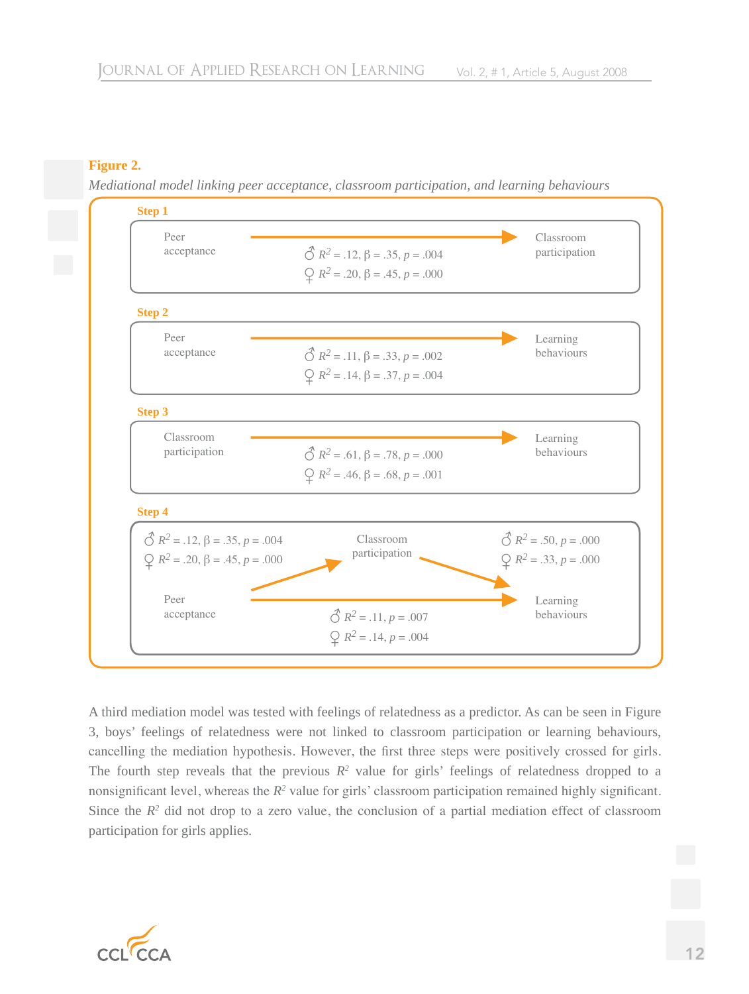# **Figure 2.**

*Mediational model linking peer acceptance, classroom participation, and learning behaviours*

| Peer                                                      |                                                        | Classroom                           |
|-----------------------------------------------------------|--------------------------------------------------------|-------------------------------------|
| acceptance                                                | $\hat{\circ}$ $R^2 = .12$ , $\beta = .35$ , $p = .004$ | participation                       |
|                                                           | $\mathcal{Q}$ $R^2$ = .20, $\beta$ = .45, $p$ = .000   |                                     |
| <b>Step 2</b>                                             |                                                        |                                     |
| Peer                                                      |                                                        | Learning                            |
| acceptance                                                | $\hat{\circ}$ $R^2 = .11$ , $\beta = .33$ , $p = .002$ | behaviours                          |
|                                                           | $\mathcal{Q}$ $R^2 = .14$ , $\beta = .37$ , $p = .004$ |                                     |
| <b>Step 3</b>                                             |                                                        |                                     |
| Classroom                                                 |                                                        | Learning                            |
| participation                                             | $\hat{\circ}$ $R^2 = .61$ , $\beta = .78$ , $p = .000$ | behaviours                          |
|                                                           | $\mathcal{Q}$ $R^2$ = .46, $\beta$ = .68, $p$ = .001   |                                     |
| <b>Step 4</b>                                             |                                                        |                                     |
| $\hat{\bigcirc}$ $R^2 = .12$ , $\beta = .35$ , $p = .004$ | Classroom                                              | $\mathcal{O}$ $R^2 = .50, p = .000$ |
| $\mathcal{Q}$ $R^2$ = .20, $\beta$ = .45, $p = .000$      | participation                                          | $\mathcal{Q}$ $R^2 = .33, p = .000$ |
| Peer                                                      |                                                        | Learning                            |
| acceptance                                                | $\mathcal{O}$ $R^2 = .11, p = .007$                    | behaviours                          |
|                                                           | $Q$ $R^2 = .14, p = .004$                              |                                     |

A third mediation model was tested with feelings of relatedness as a predictor. As can be seen in Figure 3, boys' feelings of relatedness were not linked to classroom participation or learning behaviours, cancelling the mediation hypothesis. However, the first three steps were positively crossed for girls. The fourth step reveals that the previous  $R^2$  value for girls' feelings of relatedness dropped to a nonsignificant level, whereas the  $R^2$  value for girls' classroom participation remained highly significant. Since the  $R<sup>2</sup>$  did not drop to a zero value, the conclusion of a partial mediation effect of classroom participation for girls applies.

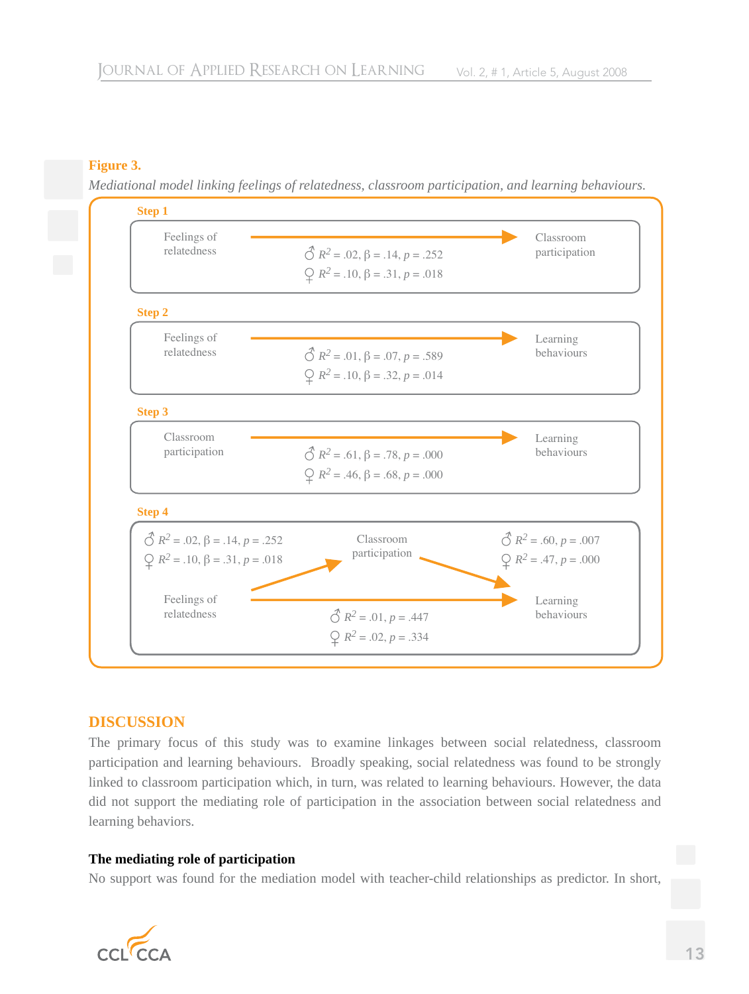# **Figure 3.**

*Mediational model linking feelings of relatedness, classroom participation, and learning behaviours.*



# **DISCUSSION**

The primary focus of this study was to examine linkages between social relatedness, classroom participation and learning behaviours. Broadly speaking, social relatedness was found to be strongly linked to classroom participation which, in turn, was related to learning behaviours. However, the data did not support the mediating role of participation in the association between social relatedness and learning behaviors.

# **The mediating role of participation**

No support was found for the mediation model with teacher-child relationships as predictor. In short,

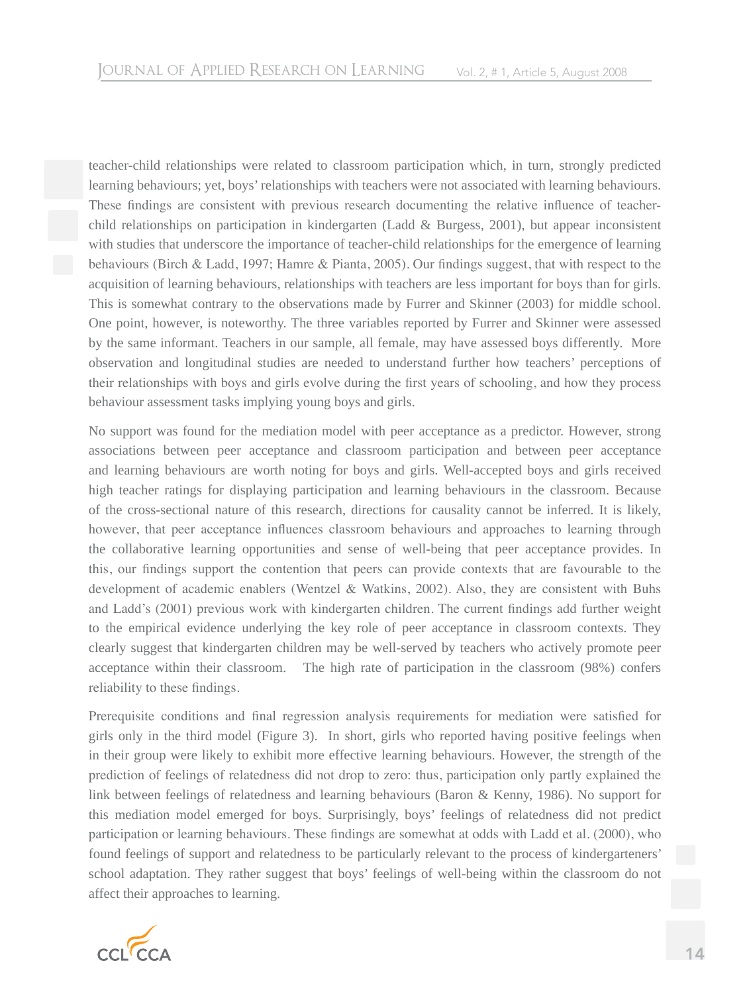teacher-child relationships were related to classroom participation which, in turn, strongly predicted learning behaviours; yet, boys' relationships with teachers were not associated with learning behaviours. These findings are consistent with previous research documenting the relative influence of teacherchild relationships on participation in kindergarten (Ladd & Burgess, 2001), but appear inconsistent with studies that underscore the importance of teacher-child relationships for the emergence of learning behaviours (Birch & Ladd, 1997; Hamre & Pianta, 2005). Our findings suggest, that with respect to the acquisition of learning behaviours, relationships with teachers are less important for boys than for girls. This is somewhat contrary to the observations made by Furrer and Skinner (2003) for middle school. One point, however, is noteworthy. The three variables reported by Furrer and Skinner were assessed by the same informant. Teachers in our sample, all female, may have assessed boys differently. More observation and longitudinal studies are needed to understand further how teachers' perceptions of their relationships with boys and girls evolve during the first years of schooling, and how they process behaviour assessment tasks implying young boys and girls.

No support was found for the mediation model with peer acceptance as a predictor. However, strong associations between peer acceptance and classroom participation and between peer acceptance and learning behaviours are worth noting for boys and girls. Well-accepted boys and girls received high teacher ratings for displaying participation and learning behaviours in the classroom. Because of the cross-sectional nature of this research, directions for causality cannot be inferred. It is likely, however, that peer acceptance influences classroom behaviours and approaches to learning through the collaborative learning opportunities and sense of well-being that peer acceptance provides. In this, our findings support the contention that peers can provide contexts that are favourable to the development of academic enablers (Wentzel & Watkins, 2002). Also, they are consistent with Buhs and Ladd's (2001) previous work with kindergarten children. The current findings add further weight to the empirical evidence underlying the key role of peer acceptance in classroom contexts. They clearly suggest that kindergarten children may be well-served by teachers who actively promote peer acceptance within their classroom. The high rate of participation in the classroom (98%) confers reliability to these findings.

Prerequisite conditions and final regression analysis requirements for mediation were satisfied for girls only in the third model (Figure 3). In short, girls who reported having positive feelings when in their group were likely to exhibit more effective learning behaviours. However, the strength of the prediction of feelings of relatedness did not drop to zero: thus, participation only partly explained the link between feelings of relatedness and learning behaviours (Baron & Kenny, 1986). No support for this mediation model emerged for boys. Surprisingly, boys' feelings of relatedness did not predict participation or learning behaviours. These findings are somewhat at odds with Ladd et al. (2000), who found feelings of support and relatedness to be particularly relevant to the process of kindergarteners' school adaptation. They rather suggest that boys' feelings of well-being within the classroom do not affect their approaches to learning.

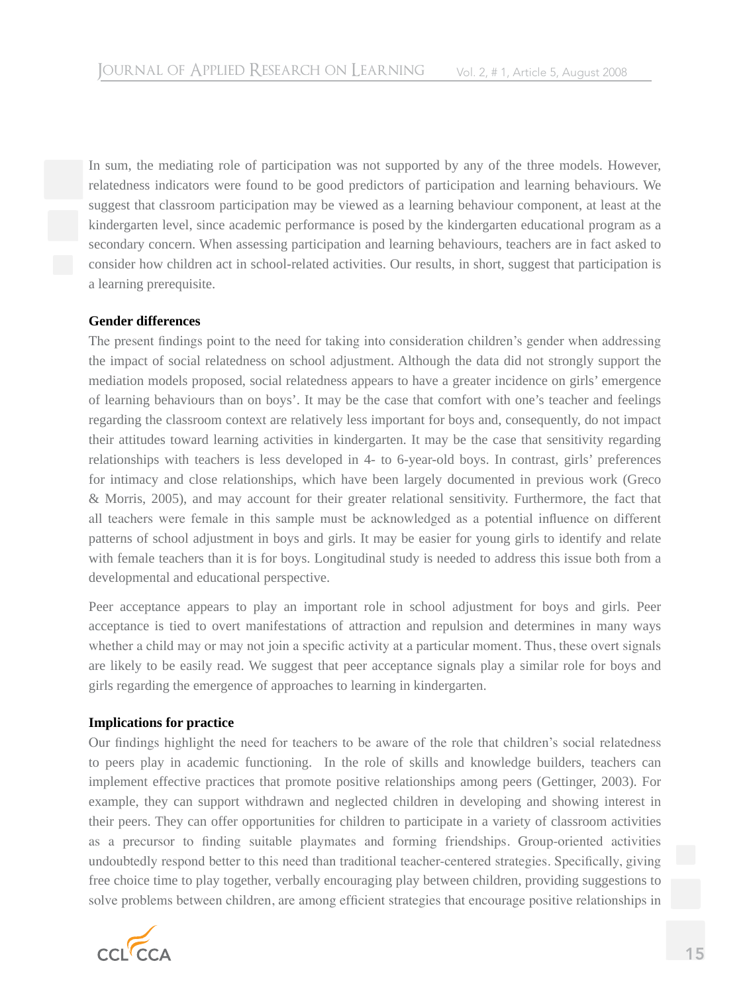In sum, the mediating role of participation was not supported by any of the three models. However, relatedness indicators were found to be good predictors of participation and learning behaviours. We suggest that classroom participation may be viewed as a learning behaviour component, at least at the kindergarten level, since academic performance is posed by the kindergarten educational program as a secondary concern. When assessing participation and learning behaviours, teachers are in fact asked to consider how children act in school-related activities. Our results, in short, suggest that participation is a learning prerequisite.

#### **Gender differences**

The present findings point to the need for taking into consideration children's gender when addressing the impact of social relatedness on school adjustment. Although the data did not strongly support the mediation models proposed, social relatedness appears to have a greater incidence on girls' emergence of learning behaviours than on boys'. It may be the case that comfort with one's teacher and feelings regarding the classroom context are relatively less important for boys and, consequently, do not impact their attitudes toward learning activities in kindergarten. It may be the case that sensitivity regarding relationships with teachers is less developed in 4- to 6-year-old boys. In contrast, girls' preferences for intimacy and close relationships, which have been largely documented in previous work (Greco & Morris, 2005), and may account for their greater relational sensitivity. Furthermore, the fact that all teachers were female in this sample must be acknowledged as a potential influence on different patterns of school adjustment in boys and girls. It may be easier for young girls to identify and relate with female teachers than it is for boys. Longitudinal study is needed to address this issue both from a developmental and educational perspective.

Peer acceptance appears to play an important role in school adjustment for boys and girls. Peer acceptance is tied to overt manifestations of attraction and repulsion and determines in many ways whether a child may or may not join a specific activity at a particular moment. Thus, these overt signals are likely to be easily read. We suggest that peer acceptance signals play a similar role for boys and girls regarding the emergence of approaches to learning in kindergarten.

#### **Implications for practice**

Our findings highlight the need for teachers to be aware of the role that children's social relatedness to peers play in academic functioning. In the role of skills and knowledge builders, teachers can implement effective practices that promote positive relationships among peers (Gettinger, 2003). For example, they can support withdrawn and neglected children in developing and showing interest in their peers. They can offer opportunities for children to participate in a variety of classroom activities as a precursor to finding suitable playmates and forming friendships. Group-oriented activities undoubtedly respond better to this need than traditional teacher-centered strategies. Specifically, giving free choice time to play together, verbally encouraging play between children, providing suggestions to solve problems between children, are among efficient strategies that encourage positive relationships in

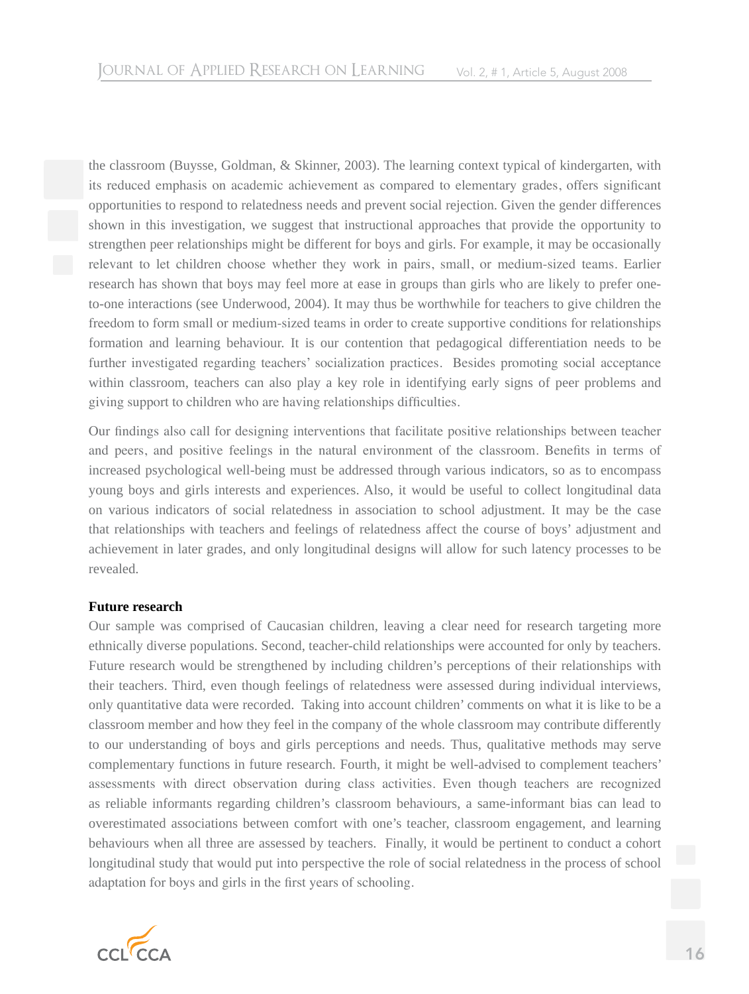the classroom (Buysse, Goldman, & Skinner, 2003). The learning context typical of kindergarten, with its reduced emphasis on academic achievement as compared to elementary grades, offers significant opportunities to respond to relatedness needs and prevent social rejection. Given the gender differences shown in this investigation, we suggest that instructional approaches that provide the opportunity to strengthen peer relationships might be different for boys and girls. For example, it may be occasionally relevant to let children choose whether they work in pairs, small, or medium-sized teams. Earlier research has shown that boys may feel more at ease in groups than girls who are likely to prefer oneto-one interactions (see Underwood, 2004). It may thus be worthwhile for teachers to give children the freedom to form small or medium-sized teams in order to create supportive conditions for relationships formation and learning behaviour. It is our contention that pedagogical differentiation needs to be further investigated regarding teachers' socialization practices. Besides promoting social acceptance within classroom, teachers can also play a key role in identifying early signs of peer problems and giving support to children who are having relationships difficulties.

Our findings also call for designing interventions that facilitate positive relationships between teacher and peers, and positive feelings in the natural environment of the classroom. Benefits in terms of increased psychological well-being must be addressed through various indicators, so as to encompass young boys and girls interests and experiences. Also, it would be useful to collect longitudinal data on various indicators of social relatedness in association to school adjustment. It may be the case that relationships with teachers and feelings of relatedness affect the course of boys' adjustment and achievement in later grades, and only longitudinal designs will allow for such latency processes to be revealed.

#### **Future research**

Our sample was comprised of Caucasian children, leaving a clear need for research targeting more ethnically diverse populations. Second, teacher-child relationships were accounted for only by teachers. Future research would be strengthened by including children's perceptions of their relationships with their teachers. Third, even though feelings of relatedness were assessed during individual interviews, only quantitative data were recorded. Taking into account children' comments on what it is like to be a classroom member and how they feel in the company of the whole classroom may contribute differently to our understanding of boys and girls perceptions and needs. Thus, qualitative methods may serve complementary functions in future research. Fourth, it might be well-advised to complement teachers' assessments with direct observation during class activities. Even though teachers are recognized as reliable informants regarding children's classroom behaviours, a same-informant bias can lead to overestimated associations between comfort with one's teacher, classroom engagement, and learning behaviours when all three are assessed by teachers. Finally, it would be pertinent to conduct a cohort longitudinal study that would put into perspective the role of social relatedness in the process of school adaptation for boys and girls in the first years of schooling.

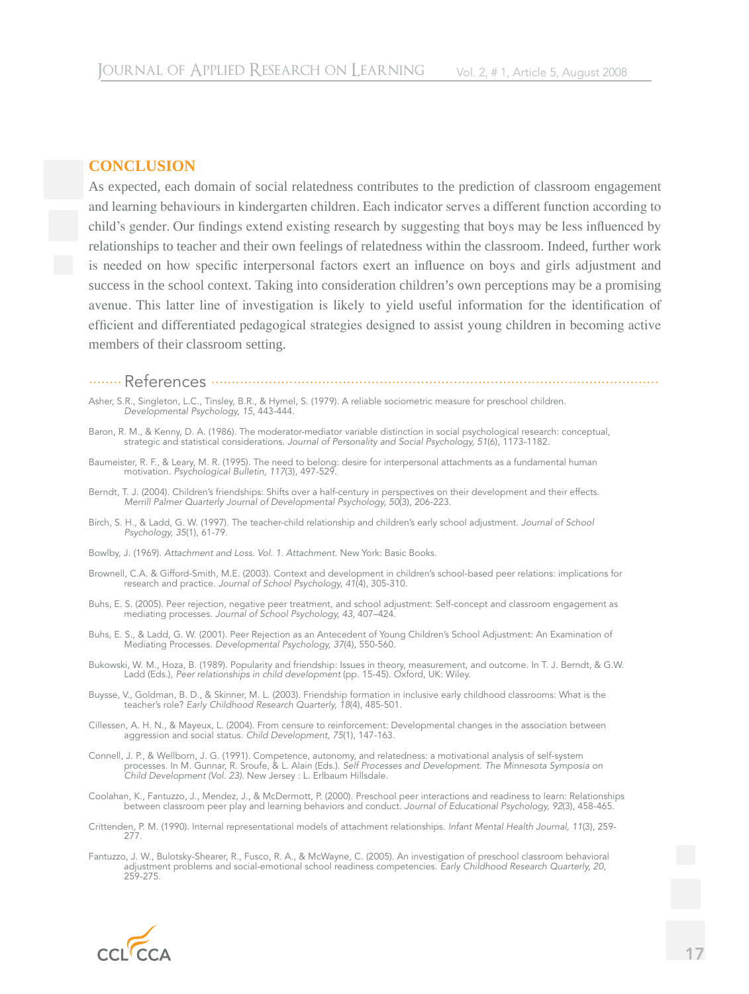### **CONCLUSION**

As expected, each domain of social relatedness contributes to the prediction of classroom engagement and learning behaviours in kindergarten children. Each indicator serves a different function according to child's gender. Our findings extend existing research by suggesting that boys may be less influenced by relationships to teacher and their own feelings of relatedness within the classroom. Indeed, further work is needed on how specific interpersonal factors exert an influence on boys and girls adjustment and success in the school context. Taking into consideration children's own perceptions may be a promising avenue. This latter line of investigation is likely to yield useful information for the identification of efficient and differentiated pedagogical strategies designed to assist young children in becoming active members of their classroom setting.

........ References .............................................................................................................

- Asher, S.R., Singleton, L.C., Tinsley, B.R., & Hymel, S. (1979). A reliable sociometric measure for preschool children. *Developmental Psychology, 15*, 443-444.
- Baron, R. M., & Kenny, D. A. (1986). The moderator-mediator variable distinction in social psychological research: conceptual, strategic and statistical considerations. *Journal of Personality and Social Psychology, 51*(6), 1173-1182.
- Baumeister, R. F., & Leary, M. R. (1995). The need to belong: desire for interpersonal attachments as a fundamental human motivation. *Psychological Bulletin, 117*(3), 497-529.
- Berndt, T. J. (2004). Children's friendships: Shifts over a half-century in perspectives on their development and their effects. *Merrill Palmer Quarterly Journal of Developmental Psychology, 50*(3), 206-223.
- Birch, S. H., & Ladd, G. W. (1997). The teacher-child relationship and children's early school adjustment. *Journal of School Psychology, 35*(1), 61-79.
- Bowlby, J. (1969). *Attachment and Loss. Vol. 1. Attachment.* New York: Basic Books.
- Brownell, C.A. & Gifford-Smith, M.E. (2003). Context and development in children's school-based peer relations: implications for research and practice. *Journal of School Psychology, 41*(4), 305-310.
- Buhs, E. S. (2005). Peer rejection, negative peer treatment, and school adjustment: Self-concept and classroom engagement as mediating processes. *Journal of School Psychology, 43*, 407–424.
- Buhs, E. S., & Ladd, G. W. (2001). Peer Rejection as an Antecedent of Young Children's School Adjustment: An Examination of Mediating Processes. *Developmental Psychology, 37*(4), 550-560.
- Bukowski, W. M., Hoza, B. (1989). Popularity and friendship: Issues in theory, measurement, and outcome. In T. J. Berndt, & G.W. Ladd (Eds.), *Peer relationships in child development* (pp. 15-45). Oxford, UK: Wiley.
- Buysse, V., Goldman, B. D., & Skinner, M. L. (2003). Friendship formation in inclusive early childhood classrooms: What is the teacher's role? *Early Childhood Research Quarterly, 18*(4), 485-501.
- Cillessen, A. H. N., & Mayeux, L. (2004). From censure to reinforcement: Developmental changes in the association between aggression and social status. *Child Development, 75*(1), 147-163.
- Connell, J. P., & Wellborn, J. G. (1991). Competence, autonomy, and relatedness: a motivational analysis of self-system processes. In M. Gunnar, R. Sroufe, & L. Alain (Eds.). *Self Processes and Development. The Minnesota Symposia on Child Development (Vol. 23)*. New Jersey : L. Erlbaum Hillsdale.
- Coolahan, K., Fantuzzo, J., Mendez, J., & McDermott, P. (2000). Preschool peer interactions and readiness to learn: Relationships between classroom peer play and learning behaviors and conduct. *Journal of Educational Psychology, 92*(3), 458-465.
- Crittenden, P. M. (1990). Internal representational models of attachment relationships. *Infant Mental Health Journal, 11*(3), 259- 277.
- Fantuzzo, J. W., Bulotsky-Shearer, R., Fusco, R. A., & McWayne, C. (2005). An investigation of preschool classroom behavioral adjustment problems and social-emotional school readiness competencies. *Early Childhood Research Quarterly, 20*, 259-275.

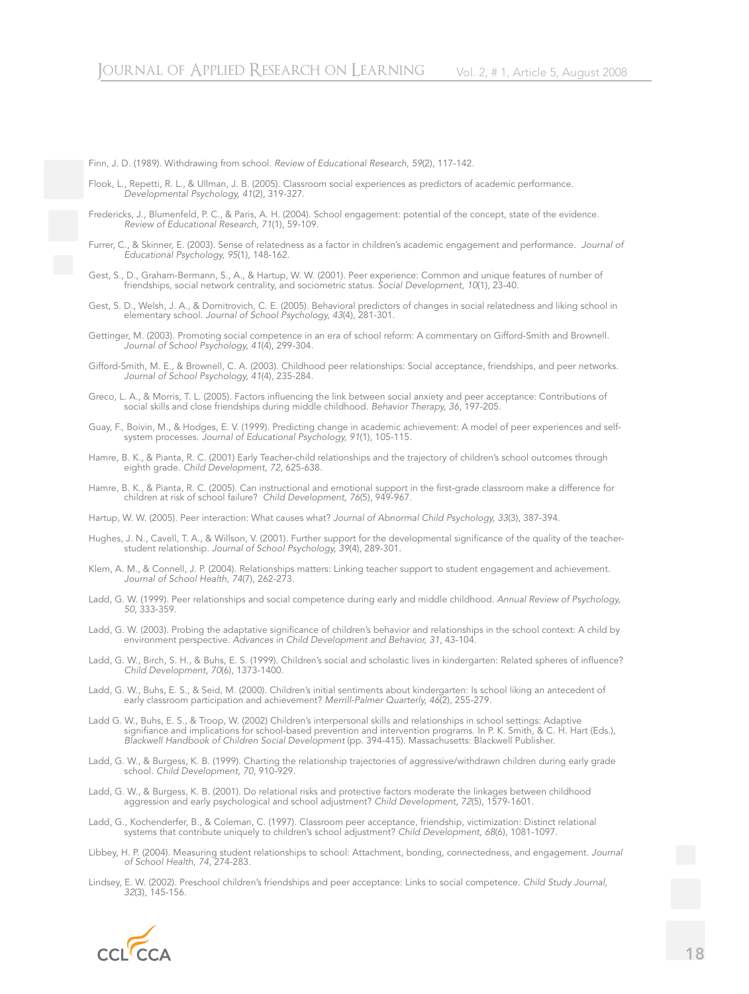Finn, J. D. (1989). Withdrawing from school. *Review of Educational Research, 59*(2), 117-142.

Flook, L., Repetti, R. L., & Ullman, J. B. (2005). Classroom social experiences as predictors of academic performance. *Developmental Psychology, 41*(2), 319-327.

- Fredericks, J., Blumenfeld, P. C., & Paris, A. H. (2004). School engagement: potential of the concept, state of the evidence. *Review of Educational Research, 71*(1), 59-109.
- Furrer, C., & Skinner, E. (2003). Sense of relatedness as a factor in children's academic engagement and performance. *Journal of Educational Psychology, 95*(1), 148-162.
- Gest, S., D., Graham-Bermann, S., A., & Hartup, W. W. (2001). Peer experience: Common and unique features of number of friendships, social network centrality, and sociometric status. *Social Development, 10*(1), 23-40.
- Gest, S. D., Welsh, J. A., & Domitrovich, C. E. (2005). Behavioral predictors of changes in social relatedness and liking school in elementary school. *Journal of School Psychology, 43*(4), 281-301.
- Gettinger, M. (2003). Promoting social competence in an era of school reform: A commentary on Gifford-Smith and Brownell. *Journal of School Psychology, 41*(4), 299-304.
- Gifford-Smith, M. E., & Brownell, C. A. (2003). Childhood peer relationships: Social acceptance, friendships, and peer networks. *Journal of School Psychology, 41*(4), 235-284.
- Greco, L. A., & Morris, T. L. (2005). Factors influencing the link between social anxiety and peer acceptance: Contributions of social skills and close friendships during middle childhood. *Behavior Therapy, 36*, 197-205.
- Guay, F., Boivin, M., & Hodges, E. V. (1999). Predicting change in academic achievement: A model of peer experiences and selfsystem processes. *Journal of Educational Psychology, 91*(1), 105-115.
- Hamre, B. K., & Pianta, R. C. (2001) Early Teacher-child relationships and the trajectory of children's school outcomes through eighth grade. *Child Development, 72*, 625-638.
- Hamre, B. K., & Pianta, R. C. (2005). Can instructional and emotional support in the first-grade classroom make a difference for children at risk of school failure? *Child Development, 76*(5), 949-967.
- Hartup, W. W. (2005). Peer interaction: What causes what? *Journal of Abnormal Child Psychology, 33*(3), 387-394.
- Hughes, J. N., Cavell, T. A., & Willson, V. (2001). Further support for the developmental significance of the quality of the teacherstudent relationship. *Journal of School Psychology, 39*(4), 289-301.
- Klem, A. M., & Connell, J. P. (2004). Relationships matters: Linking teacher support to student engagement and achievement. *Journal of School Health, 74*(7), 262-273.
- Ladd, G. W. (1999). Peer relationships and social competence during early and middle childhood. *Annual Review of Psychology, 50*, 333-359.
- Ladd, G. W. (2003). Probing the adaptative significance of children's behavior and relationships in the school context: A child by environment perspective. *Advances in Child Development and Behavior, 31*, 43-104.
- Ladd, G. W., Birch, S. H., & Buhs, E. S. (1999). Children's social and scholastic lives in kindergarten: Related spheres of influence? *Child Development, 70*(6), 1373-1400.
- Ladd, G. W., Buhs, E. S., & Seid, M. (2000). Children's initial sentiments about kindergarten: Is school liking an antecedent of early classroom participation and achievement? *Merrill-Palmer Quarterly, 46*(2), 255-279.
- Ladd G. W., Buhs, E. S., & Troop, W. (2002) Children's interpersonal skills and relationships in school settings: Adaptive signifiance and implications for school-based prevention and intervention programs. In P. K. Smith, & C. H. Hart (Eds.), *Blackwell Handbook of Children Social Development* (pp. 394-415). Massachusetts: Blackwell Publisher.
- Ladd, G. W., & Burgess, K. B. (1999). Charting the relationship trajectories of aggressive/withdrawn children during early grade school. *Child Development, 70*, 910-929.
- Ladd, G. W., & Burgess, K. B. (2001). Do relational risks and protective factors moderate the linkages between childhood aggression and early psychological and school adjustment? *Child Development, 72*(5), 1579-1601.
- Ladd, G., Kochenderfer, B., & Coleman, C. (1997). Classroom peer acceptance, friendship, victimization: Distinct relational systems that contribute uniquely to children's school adjustment? *Child Development, 68*(6), 1081-1097.
- Libbey, H. P. (2004). Measuring student relationships to school: Attachment, bonding, connectedness, and engagement. *Journal of School Health, 74*, 274-283.
- Lindsey, E. W. (2002). Preschool children's friendships and peer acceptance: Links to social competence. *Child Study Journal, 32*(3), 145-156.

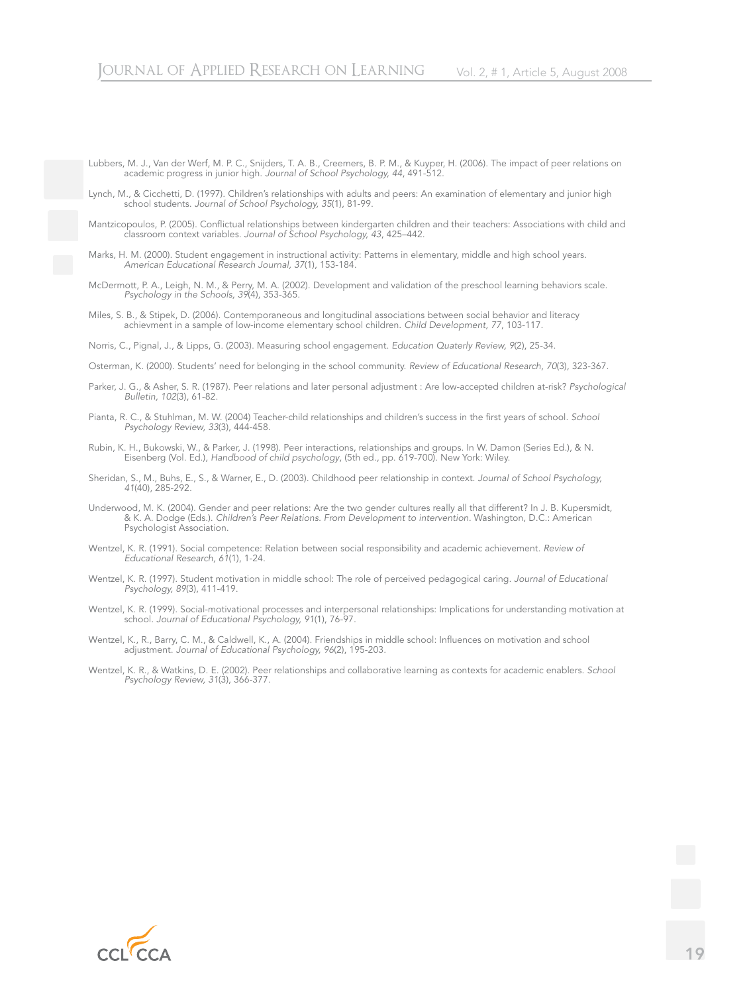Lubbers, M. J., Van der Werf, M. P. C., Snijders, T. A. B., Creemers, B. P. M., & Kuyper, H. (2006). The impact of peer relations on academic progress in junior high. *Journal of School Psychology, 44*, 491-512.

Lynch, M., & Cicchetti, D. (1997). Children's relationships with adults and peers: An examination of elementary and junior high school students. *Journal of School Psychology, 35*(1), 81-99.

Mantzicopoulos, P. (2005). Conflictual relationships between kindergarten children and their teachers: Associations with child and classroom context variables. *Journal of School Psychology, 43*, 425–442.

Marks, H. M. (2000). Student engagement in instructional activity: Patterns in elementary, middle and high school years. *American Educational Research Journal, 37*(1), 153-184.

McDermott, P. A., Leigh, N. M., & Perry, M. A. (2002). Development and validation of the preschool learning behaviors scale. *Psychology in the Schools, 39*(4), 353-365.

Miles, S. B., & Stipek, D. (2006). Contemporaneous and longitudinal associations between social behavior and literacy achievment in a sample of low-income elementary school children. *Child Development, 77*, 103-117.

Norris, C., Pignal, J., & Lipps, G. (2003). Measuring school engagement. *Education Quaterly Review, 9*(2), 25-34.

Osterman, K. (2000). Students' need for belonging in the school community. *Review of Educational Research, 70*(3), 323-367.

Parker, J. G., & Asher, S. R. (1987). Peer relations and later personal adjustment : Are low-accepted children at-risk? *Psychological Bulletin, 102*(3), 61-82.

Pianta, R. C., & Stuhlman, M. W. (2004) Teacher-child relationships and children's success in the first years of school. *School Psychology Review, 33*(3), 444-458.

Rubin, K. H., Bukowski, W., & Parker, J. (1998). Peer interactions, relationships and groups. In W. Damon (Series Ed.), & N. Eisenberg (Vol. Ed.), *Handbood of child psychology*, (5th ed., pp. 619-700). New York: Wiley.

Sheridan, S., M., Buhs, E., S., & Warner, E., D. (2003). Childhood peer relationship in context. *Journal of School Psychology, 41*(40), 285-292.

Underwood, M. K. (2004). Gender and peer relations: Are the two gender cultures really all that different? In J. B. Kupersmidt, & K. A. Dodge (Eds.). *Children's Peer Relations. From Development to intervention.* Washington, D.C.: American Psychologist Association.

Wentzel, K. R. (1991). Social competence: Relation between social responsibility and academic achievement. *Review of Educational Research, 61*(1), 1-24.

Wentzel, K. R. (1997). Student motivation in middle school: The role of perceived pedagogical caring. *Journal of Educational Psychology, 89*(3), 411-419.

Wentzel, K. R. (1999). Social-motivational processes and interpersonal relationships: Implications for understanding motivation at school. *Journal of Educational Psychology, 91*(1), 76-97.

Wentzel, K., R., Barry, C. M., & Caldwell, K., A. (2004). Friendships in middle school: Influences on motivation and school adjustment. *Journal of Educational Psychology, 96*(2), 195-203.

Wentzel, K. R., & Watkins, D. E. (2002). Peer relationships and collaborative learning as contexts for academic enablers. *School Psychology Review, 31*(3), 366-377.